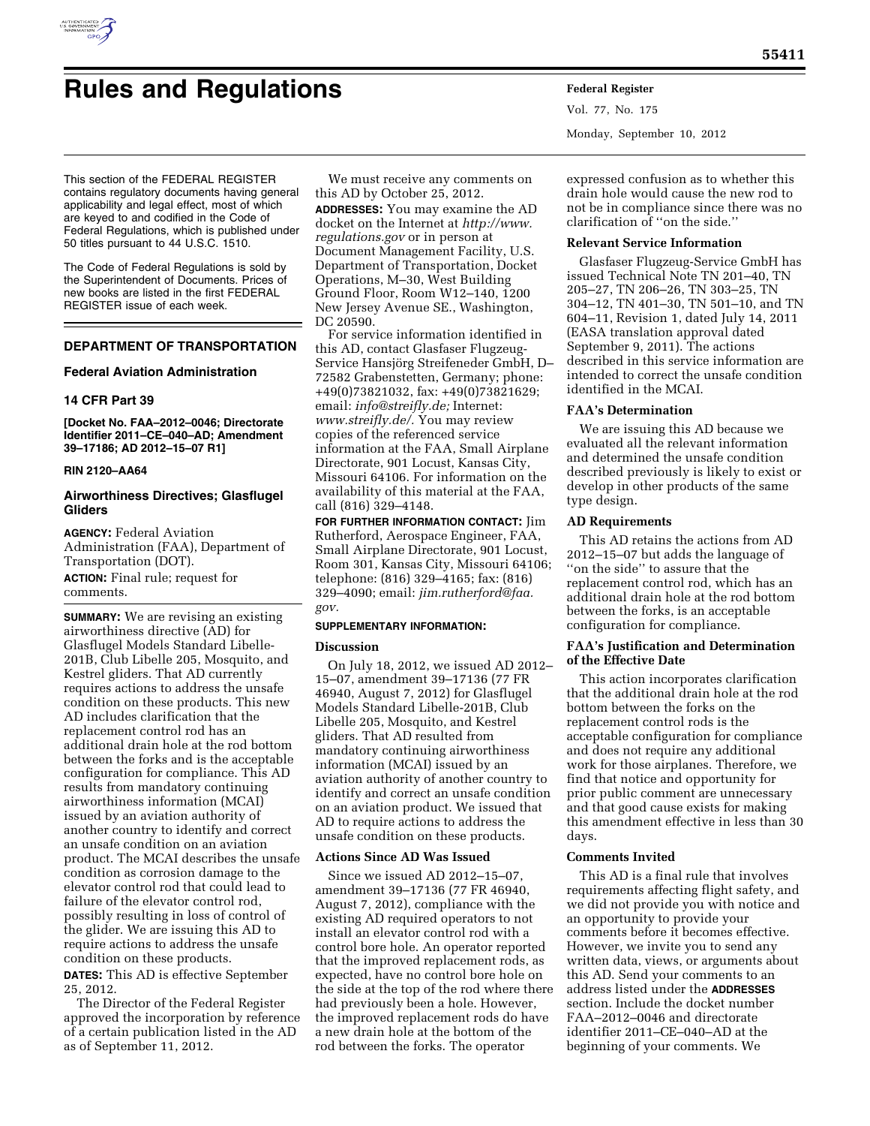

# **Rules and Regulations Federal Register**

Monday, September 10, 2012

This section of the FEDERAL REGISTER contains regulatory documents having general applicability and legal effect, most of which are keyed to and codified in the Code of Federal Regulations, which is published under 50 titles pursuant to 44 U.S.C. 1510.

The Code of Federal Regulations is sold by the Superintendent of Documents. Prices of new books are listed in the first FEDERAL REGISTER issue of each week.

# **DEPARTMENT OF TRANSPORTATION**

# **Federal Aviation Administration**

# **14 CFR Part 39**

**[Docket No. FAA–2012–0046; Directorate Identifier 2011–CE–040–AD; Amendment 39–17186; AD 2012–15–07 R1]** 

### **RIN 2120–AA64**

# **Airworthiness Directives; Glasflugel Gliders**

**AGENCY:** Federal Aviation Administration (FAA), Department of Transportation (DOT).

**ACTION:** Final rule; request for comments.

**SUMMARY:** We are revising an existing airworthiness directive (AD) for Glasflugel Models Standard Libelle-201B, Club Libelle 205, Mosquito, and Kestrel gliders. That AD currently requires actions to address the unsafe condition on these products. This new AD includes clarification that the replacement control rod has an additional drain hole at the rod bottom between the forks and is the acceptable configuration for compliance. This AD results from mandatory continuing airworthiness information (MCAI) issued by an aviation authority of another country to identify and correct an unsafe condition on an aviation product. The MCAI describes the unsafe condition as corrosion damage to the elevator control rod that could lead to failure of the elevator control rod, possibly resulting in loss of control of the glider. We are issuing this AD to require actions to address the unsafe condition on these products.

**DATES:** This AD is effective September 25, 2012.

The Director of the Federal Register approved the incorporation by reference of a certain publication listed in the AD as of September 11, 2012.

We must receive any comments on this AD by October 25, 2012.

**ADDRESSES:** You may examine the AD docket on the Internet at *[http://www.](http://www.regulations.gov) [regulations.gov](http://www.regulations.gov)* or in person at Document Management Facility, U.S. Department of Transportation, Docket Operations, M–30, West Building Ground Floor, Room W12–140, 1200 New Jersey Avenue SE., Washington, DC 20590.

For service information identified in this AD, contact Glasfaser Flugzeug-Service Hansjörg Streifeneder GmbH, D– 72582 Grabenstetten, Germany; phone: +49(0)73821032, fax: +49(0)73821629; email: *[info@streifly.de;](mailto:info@streifly.de)* Internet: *[www.streifly.de/.](http://www.streifly.de/)* You may review copies of the referenced service information at the FAA, Small Airplane Directorate, 901 Locust, Kansas City, Missouri 64106. For information on the availability of this material at the FAA, call (816) 329–4148.

**FOR FURTHER INFORMATION CONTACT:** Jim Rutherford, Aerospace Engineer, FAA, Small Airplane Directorate, 901 Locust, Room 301, Kansas City, Missouri 64106; telephone: (816) 329–4165; fax: (816) 329–4090; email: *[jim.rutherford@faa.](mailto:jim.rutherford@faa.gov) [gov.](mailto:jim.rutherford@faa.gov)* 

# **SUPPLEMENTARY INFORMATION:**

# **Discussion**

On July 18, 2012, we issued AD 2012– 15–07, amendment 39–17136 (77 FR 46940, August 7, 2012) for Glasflugel Models Standard Libelle-201B, Club Libelle 205, Mosquito, and Kestrel gliders. That AD resulted from mandatory continuing airworthiness information (MCAI) issued by an aviation authority of another country to identify and correct an unsafe condition on an aviation product. We issued that AD to require actions to address the unsafe condition on these products.

# **Actions Since AD Was Issued**

Since we issued AD 2012–15–07, amendment 39–17136 (77 FR 46940, August 7, 2012), compliance with the existing AD required operators to not install an elevator control rod with a control bore hole. An operator reported that the improved replacement rods, as expected, have no control bore hole on the side at the top of the rod where there had previously been a hole. However, the improved replacement rods do have a new drain hole at the bottom of the rod between the forks. The operator

expressed confusion as to whether this drain hole would cause the new rod to not be in compliance since there was no clarification of ''on the side.''

# **Relevant Service Information**

Vol. 77, No. 175

Glasfaser Flugzeug-Service GmbH has issued Technical Note TN 201–40, TN 205–27, TN 206–26, TN 303–25, TN 304–12, TN 401–30, TN 501–10, and TN 604–11, Revision 1, dated July 14, 2011 (EASA translation approval dated September 9, 2011). The actions described in this service information are intended to correct the unsafe condition identified in the MCAI.

#### **FAA's Determination**

We are issuing this AD because we evaluated all the relevant information and determined the unsafe condition described previously is likely to exist or develop in other products of the same type design.

# **AD Requirements**

This AD retains the actions from AD 2012–15–07 but adds the language of ''on the side'' to assure that the replacement control rod, which has an additional drain hole at the rod bottom between the forks, is an acceptable configuration for compliance.

# **FAA's Justification and Determination of the Effective Date**

This action incorporates clarification that the additional drain hole at the rod bottom between the forks on the replacement control rods is the acceptable configuration for compliance and does not require any additional work for those airplanes. Therefore, we find that notice and opportunity for prior public comment are unnecessary and that good cause exists for making this amendment effective in less than 30 days.

## **Comments Invited**

This AD is a final rule that involves requirements affecting flight safety, and we did not provide you with notice and an opportunity to provide your comments before it becomes effective. However, we invite you to send any written data, views, or arguments about this AD. Send your comments to an address listed under the **ADDRESSES** section. Include the docket number FAA–2012–0046 and directorate identifier 2011–CE–040–AD at the beginning of your comments. We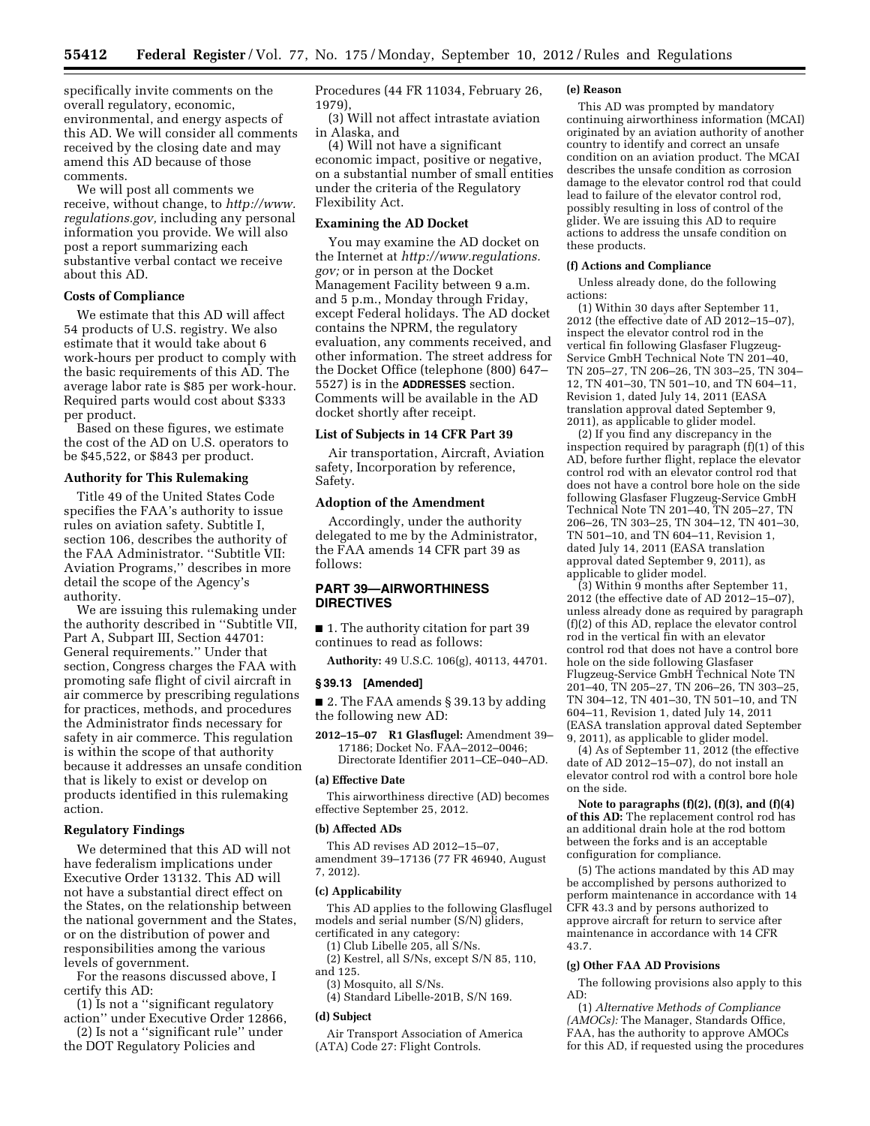specifically invite comments on the overall regulatory, economic, environmental, and energy aspects of this AD. We will consider all comments received by the closing date and may amend this AD because of those comments.

We will post all comments we receive, without change, to *[http://www.](http://www.regulations.gov) [regulations.gov,](http://www.regulations.gov)* including any personal information you provide. We will also post a report summarizing each substantive verbal contact we receive about this AD.

## **Costs of Compliance**

We estimate that this AD will affect 54 products of U.S. registry. We also estimate that it would take about 6 work-hours per product to comply with the basic requirements of this AD. The average labor rate is \$85 per work-hour. Required parts would cost about \$333 per product.

Based on these figures, we estimate the cost of the AD on U.S. operators to be \$45,522, or \$843 per product.

# **Authority for This Rulemaking**

Title 49 of the United States Code specifies the FAA's authority to issue rules on aviation safety. Subtitle I, section 106, describes the authority of the FAA Administrator. ''Subtitle VII: Aviation Programs,'' describes in more detail the scope of the Agency's authority.

We are issuing this rulemaking under the authority described in ''Subtitle VII, Part A, Subpart III, Section 44701: General requirements.'' Under that section, Congress charges the FAA with promoting safe flight of civil aircraft in air commerce by prescribing regulations for practices, methods, and procedures the Administrator finds necessary for safety in air commerce. This regulation is within the scope of that authority because it addresses an unsafe condition that is likely to exist or develop on products identified in this rulemaking action.

# **Regulatory Findings**

We determined that this AD will not have federalism implications under Executive Order 13132. This AD will not have a substantial direct effect on the States, on the relationship between the national government and the States, or on the distribution of power and responsibilities among the various levels of government.

For the reasons discussed above, I certify this AD:

(1) Is not a ''significant regulatory

action'' under Executive Order 12866, (2) Is not a ''significant rule'' under

the DOT Regulatory Policies and

Procedures (44 FR 11034, February 26, 1979),

(3) Will not affect intrastate aviation in Alaska, and

(4) Will not have a significant economic impact, positive or negative, on a substantial number of small entities under the criteria of the Regulatory Flexibility Act.

# **Examining the AD Docket**

You may examine the AD docket on the Internet at *[http://www.regulations.](http://www.regulations.gov) [gov;](http://www.regulations.gov)* or in person at the Docket Management Facility between 9 a.m. and 5 p.m., Monday through Friday, except Federal holidays. The AD docket contains the NPRM, the regulatory evaluation, any comments received, and other information. The street address for the Docket Office (telephone (800) 647– 5527) is in the **ADDRESSES** section. Comments will be available in the AD docket shortly after receipt.

## **List of Subjects in 14 CFR Part 39**

Air transportation, Aircraft, Aviation safety, Incorporation by reference, Safety.

# **Adoption of the Amendment**

Accordingly, under the authority delegated to me by the Administrator, the FAA amends 14 CFR part 39 as follows:

# **PART 39—AIRWORTHINESS DIRECTIVES**

■ 1. The authority citation for part 39 continues to read as follows:

**Authority:** 49 U.S.C. 106(g), 40113, 44701.

#### **§ 39.13 [Amended]**

■ 2. The FAA amends § 39.13 by adding the following new AD:

**2012–15–07 R1 Glasflugel:** Amendment 39– 17186; Docket No. FAA–2012–0046; Directorate Identifier 2011–CE–040–AD.

### **(a) Effective Date**

This airworthiness directive (AD) becomes effective September 25, 2012.

#### **(b) Affected ADs**

This AD revises AD 2012–15–07, amendment 39–17136 (77 FR 46940, August 7, 2012).

#### **(c) Applicability**

This AD applies to the following Glasflugel models and serial number (S/N) gliders, certificated in any category:

(1) Club Libelle 205, all S/Ns.

(2) Kestrel, all S/Ns, except S/N 85, 110, and 125.

(3) Mosquito, all S/Ns.

(4) Standard Libelle-201B, S/N 169.

## **(d) Subject**

Air Transport Association of America (ATA) Code 27: Flight Controls.

#### **(e) Reason**

This AD was prompted by mandatory continuing airworthiness information (MCAI) originated by an aviation authority of another country to identify and correct an unsafe condition on an aviation product. The MCAI describes the unsafe condition as corrosion damage to the elevator control rod that could lead to failure of the elevator control rod, possibly resulting in loss of control of the glider. We are issuing this AD to require actions to address the unsafe condition on these products.

## **(f) Actions and Compliance**

Unless already done, do the following actions:

(1) Within 30 days after September 11, 2012 (the effective date of AD 2012–15–07), inspect the elevator control rod in the vertical fin following Glasfaser Flugzeug-Service GmbH Technical Note TN 201–40, TN 205–27, TN 206–26, TN 303–25, TN 304– 12, TN 401–30, TN 501–10, and TN 604–11, Revision 1, dated July 14, 2011 (EASA translation approval dated September 9, 2011), as applicable to glider model.

(2) If you find any discrepancy in the inspection required by paragraph (f)(1) of this AD, before further flight, replace the elevator control rod with an elevator control rod that does not have a control bore hole on the side following Glasfaser Flugzeug-Service GmbH Technical Note TN 201–40, TN 205–27, TN 206–26, TN 303–25, TN 304–12, TN 401–30, TN 501–10, and TN 604–11, Revision 1, dated July 14, 2011 (EASA translation approval dated September 9, 2011), as applicable to glider model.

(3) Within 9 months after September 11, 2012 (the effective date of AD 2012–15–07), unless already done as required by paragraph  $(f)(2)$  of this AD, replace the elevator control rod in the vertical fin with an elevator control rod that does not have a control bore hole on the side following Glasfaser Flugzeug-Service GmbH Technical Note TN 201–40, TN 205–27, TN 206–26, TN 303–25, TN 304–12, TN 401–30, TN 501–10, and TN 604–11, Revision 1, dated July 14, 2011 (EASA translation approval dated September 9, 2011), as applicable to glider model.

(4) As of September 11, 2012 (the effective date of AD 2012–15–07), do not install an elevator control rod with a control bore hole on the side.

**Note to paragraphs (f)(2), (f)(3), and (f)(4) of this AD:** The replacement control rod has an additional drain hole at the rod bottom between the forks and is an acceptable configuration for compliance.

(5) The actions mandated by this AD may be accomplished by persons authorized to perform maintenance in accordance with 14 CFR 43.3 and by persons authorized to approve aircraft for return to service after maintenance in accordance with 14 CFR 43.7.

#### **(g) Other FAA AD Provisions**

The following provisions also apply to this AD:

(1) *Alternative Methods of Compliance (AMOCs):* The Manager, Standards Office, FAA, has the authority to approve AMOCs for this AD, if requested using the procedures